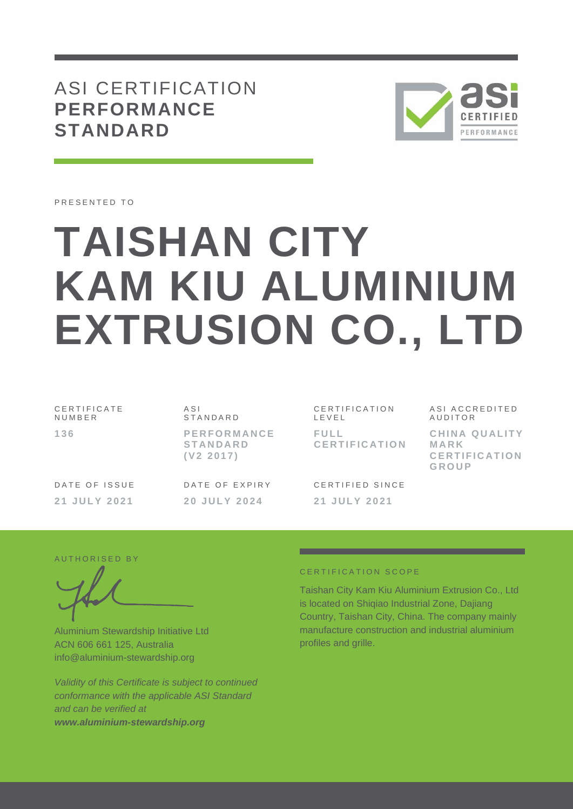ASI CERTIFICATION **PERFORMANCE STANDARD**



PRESENTED TO

# **TAISHAN CITY KAM KIU ALUMINIUM EXTRUSION CO., LTD**

| CERTIFICATE<br>NUMBER |  |
|-----------------------|--|
| 136                   |  |

#### $A S I$ **STANDARD**

**P E R F O R M A N C E S T A N D A R D ( V 2 2 0 1 7 )**

DATE OF ISSUE **2 1 J U L Y 2 0 2 1**

DATE OF EXPIRY **2 0 J U L Y 202 4**

CERTIFICATION L E V E L **F U L L C E R T I F I C A T I O N**

CERTIFIED SINCE **2 1 J U L Y 202 1**

ASI ACCREDITED **AUDITOR** 

**CHINA QUALITY M A R K C E R T I F I C A T I O N G R O U P**

## AUTHORISED BY

Aluminium Stewardship Initiative Ltd ACN 606 661 125, Australia info@aluminium-stewardship.org

*Validity of this Certificate is subject to continued conformance with the applicable ASI Standard and can be verified at www.aluminium-stewardship.org*

### CERTIFICATION SCOPE

Taishan City Kam Kiu Aluminium Extrusion Co., Ltd is located on Shiqiao Industrial Zone, Dajiang Country, Taishan City, China. The company mainly manufacture construction and industrial aluminium profiles and grille.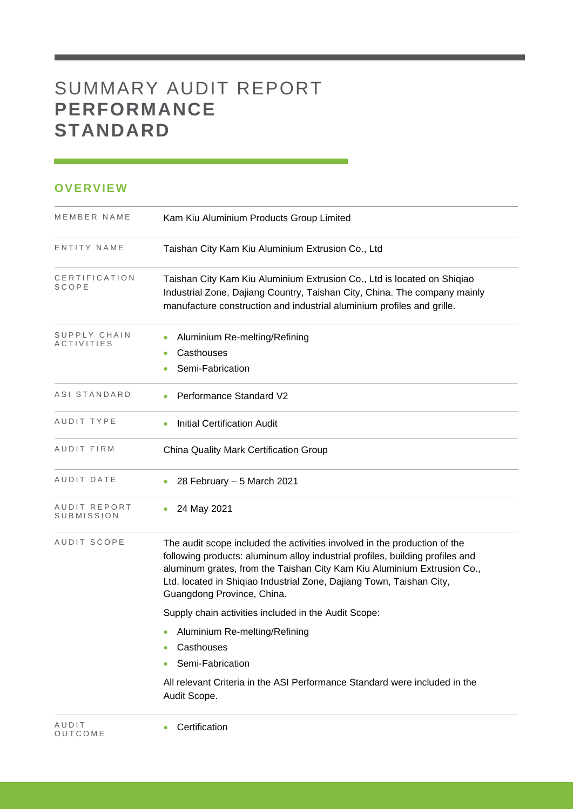# SUMMARY AUDIT REPORT **PERFORMANCE STANDARD**

## **OVERVIEW**

| MEMBER NAME                | Kam Kiu Aluminium Products Group Limited                                                                                                                                                                                                                                                                                                    |
|----------------------------|---------------------------------------------------------------------------------------------------------------------------------------------------------------------------------------------------------------------------------------------------------------------------------------------------------------------------------------------|
| ENTITY NAME                | Taishan City Kam Kiu Aluminium Extrusion Co., Ltd                                                                                                                                                                                                                                                                                           |
| CERTIFICATION<br>SCOPE     | Taishan City Kam Kiu Aluminium Extrusion Co., Ltd is located on Shiqiao<br>Industrial Zone, Dajiang Country, Taishan City, China. The company mainly<br>manufacture construction and industrial aluminium profiles and grille.                                                                                                              |
| SUPPLY CHAIN<br>ACTIVITIES | Aluminium Re-melting/Refining<br>Casthouses<br>Semi-Fabrication                                                                                                                                                                                                                                                                             |
| ASI STANDARD               | Performance Standard V2                                                                                                                                                                                                                                                                                                                     |
| AUDIT TYPE                 | <b>Initial Certification Audit</b>                                                                                                                                                                                                                                                                                                          |
| AUDIT FIRM                 | China Quality Mark Certification Group                                                                                                                                                                                                                                                                                                      |
| AUDIT DATE                 | 28 February - 5 March 2021                                                                                                                                                                                                                                                                                                                  |
| AUDIT REPORT<br>SUBMISSION | 24 May 2021                                                                                                                                                                                                                                                                                                                                 |
| AUDIT SCOPE                | The audit scope included the activities involved in the production of the<br>following products: aluminum alloy industrial profiles, building profiles and<br>aluminum grates, from the Taishan City Kam Kiu Aluminium Extrusion Co.,<br>Ltd. located in Shiqiao Industrial Zone, Dajiang Town, Taishan City,<br>Guangdong Province, China. |
|                            | Supply chain activities included in the Audit Scope:                                                                                                                                                                                                                                                                                        |
|                            | • Aluminium Re-melting/Refining                                                                                                                                                                                                                                                                                                             |
|                            | Casthouses                                                                                                                                                                                                                                                                                                                                  |
|                            | Semi-Fabrication                                                                                                                                                                                                                                                                                                                            |
|                            | All relevant Criteria in the ASI Performance Standard were included in the<br>Audit Scope.                                                                                                                                                                                                                                                  |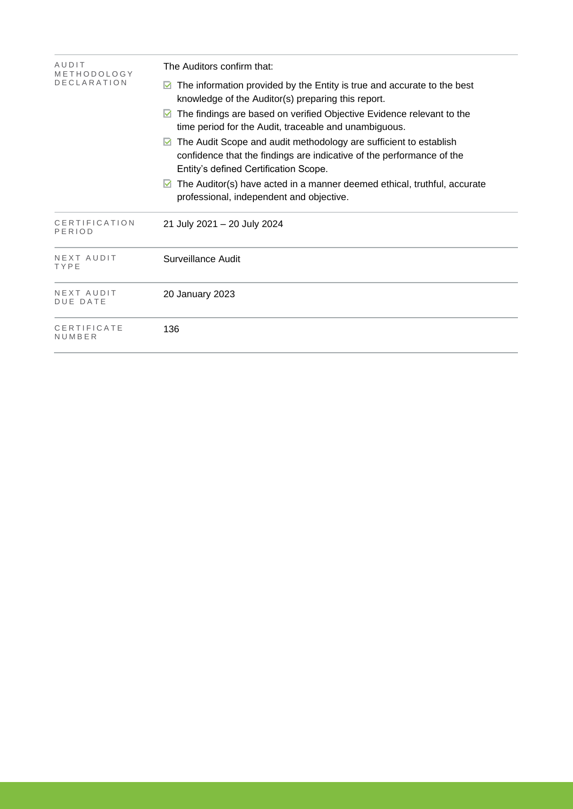| AUDIT<br>METHODOLOGY          | The Auditors confirm that:                                                                                                                                                          |  |  |  |  |
|-------------------------------|-------------------------------------------------------------------------------------------------------------------------------------------------------------------------------------|--|--|--|--|
| <b>DECLARATION</b>            | The information provided by the Entity is true and accurate to the best<br>M<br>knowledge of the Auditor(s) preparing this report.                                                  |  |  |  |  |
|                               | The findings are based on verified Objective Evidence relevant to the<br>M<br>time period for the Audit, traceable and unambiguous.                                                 |  |  |  |  |
|                               | The Audit Scope and audit methodology are sufficient to establish<br>confidence that the findings are indicative of the performance of the<br>Entity's defined Certification Scope. |  |  |  |  |
|                               | The Auditor(s) have acted in a manner deemed ethical, truthful, accurate<br>M<br>professional, independent and objective.                                                           |  |  |  |  |
| CERTIFICATION<br>PERIOD       | 21 July 2021 – 20 July 2024                                                                                                                                                         |  |  |  |  |
| NEXT AUDIT<br>TYPE            | Surveillance Audit                                                                                                                                                                  |  |  |  |  |
| NEXT AUDIT<br><b>DUE DATE</b> | 20 January 2023                                                                                                                                                                     |  |  |  |  |
| CERTIFICATE<br>NUMBER         | 136                                                                                                                                                                                 |  |  |  |  |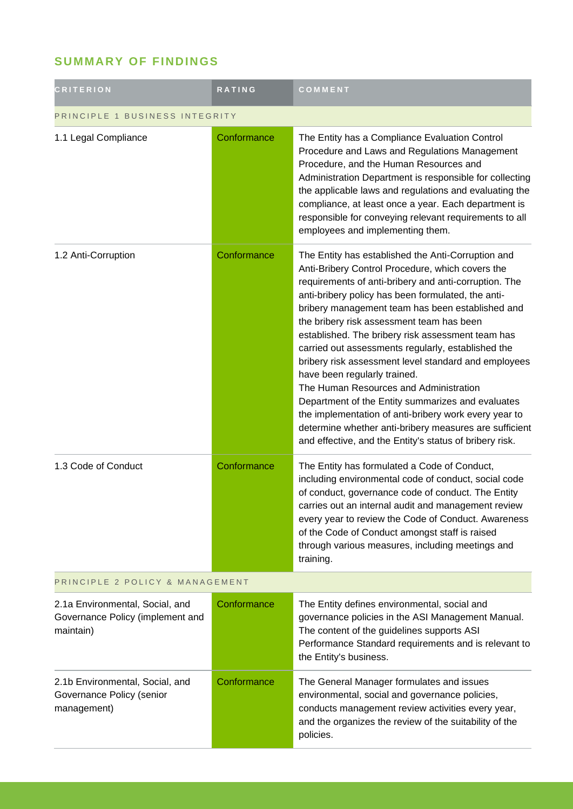## **SUMMARY OF FINDINGS**

| <b>CRITERION</b>                                                                 | RATING      | COMMENT                                                                                                                                                                                                                                                                                                                                                                                                                                                                                                                                                                                                                                                                                                                                                                                                |
|----------------------------------------------------------------------------------|-------------|--------------------------------------------------------------------------------------------------------------------------------------------------------------------------------------------------------------------------------------------------------------------------------------------------------------------------------------------------------------------------------------------------------------------------------------------------------------------------------------------------------------------------------------------------------------------------------------------------------------------------------------------------------------------------------------------------------------------------------------------------------------------------------------------------------|
| PRINCIPLE 1 BUSINESS INTEGRITY                                                   |             |                                                                                                                                                                                                                                                                                                                                                                                                                                                                                                                                                                                                                                                                                                                                                                                                        |
| 1.1 Legal Compliance                                                             | Conformance | The Entity has a Compliance Evaluation Control<br>Procedure and Laws and Regulations Management<br>Procedure, and the Human Resources and<br>Administration Department is responsible for collecting<br>the applicable laws and regulations and evaluating the<br>compliance, at least once a year. Each department is<br>responsible for conveying relevant requirements to all<br>employees and implementing them.                                                                                                                                                                                                                                                                                                                                                                                   |
| 1.2 Anti-Corruption                                                              | Conformance | The Entity has established the Anti-Corruption and<br>Anti-Bribery Control Procedure, which covers the<br>requirements of anti-bribery and anti-corruption. The<br>anti-bribery policy has been formulated, the anti-<br>bribery management team has been established and<br>the bribery risk assessment team has been<br>established. The bribery risk assessment team has<br>carried out assessments regularly, established the<br>bribery risk assessment level standard and employees<br>have been regularly trained.<br>The Human Resources and Administration<br>Department of the Entity summarizes and evaluates<br>the implementation of anti-bribery work every year to<br>determine whether anti-bribery measures are sufficient<br>and effective, and the Entity's status of bribery risk. |
| 1.3 Code of Conduct                                                              | Conformance | The Entity has formulated a Code of Conduct,<br>including environmental code of conduct, social code<br>of conduct, governance code of conduct. The Entity<br>carries out an internal audit and management review<br>every year to review the Code of Conduct. Awareness<br>of the Code of Conduct amongst staff is raised<br>through various measures, including meetings and<br>training.                                                                                                                                                                                                                                                                                                                                                                                                            |
| PRINCIPLE 2 POLICY & MANAGEMENT                                                  |             |                                                                                                                                                                                                                                                                                                                                                                                                                                                                                                                                                                                                                                                                                                                                                                                                        |
| 2.1a Environmental, Social, and<br>Governance Policy (implement and<br>maintain) | Conformance | The Entity defines environmental, social and<br>governance policies in the ASI Management Manual.<br>The content of the guidelines supports ASI<br>Performance Standard requirements and is relevant to<br>the Entity's business.                                                                                                                                                                                                                                                                                                                                                                                                                                                                                                                                                                      |
| 2.1b Environmental, Social, and<br>Governance Policy (senior<br>management)      | Conformance | The General Manager formulates and issues<br>environmental, social and governance policies,<br>conducts management review activities every year,<br>and the organizes the review of the suitability of the<br>policies.                                                                                                                                                                                                                                                                                                                                                                                                                                                                                                                                                                                |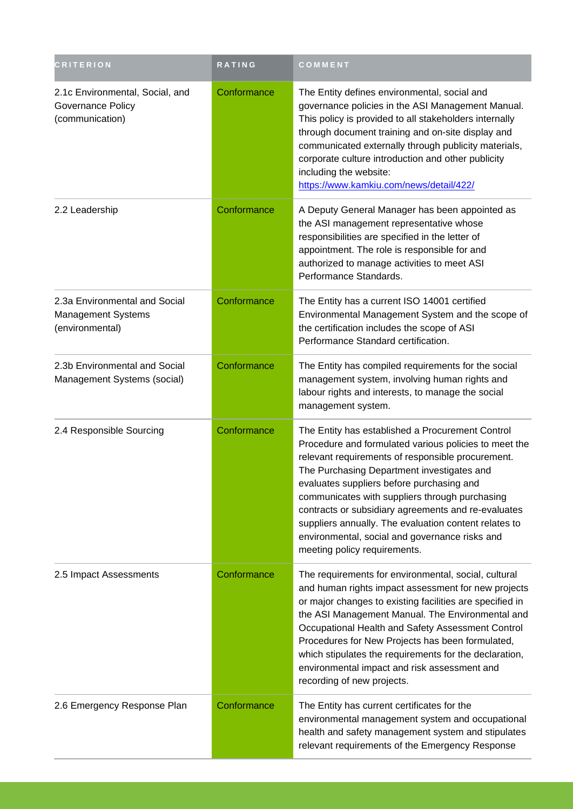| <b>CRITERION</b>                                                              | RATING      | COMMENT                                                                                                                                                                                                                                                                                                                                                                                                                                                                                                       |
|-------------------------------------------------------------------------------|-------------|---------------------------------------------------------------------------------------------------------------------------------------------------------------------------------------------------------------------------------------------------------------------------------------------------------------------------------------------------------------------------------------------------------------------------------------------------------------------------------------------------------------|
| 2.1c Environmental, Social, and<br>Governance Policy<br>(communication)       | Conformance | The Entity defines environmental, social and<br>governance policies in the ASI Management Manual.<br>This policy is provided to all stakeholders internally<br>through document training and on-site display and<br>communicated externally through publicity materials,<br>corporate culture introduction and other publicity<br>including the website:<br>https://www.kamkiu.com/news/detail/422/                                                                                                           |
| 2.2 Leadership                                                                | Conformance | A Deputy General Manager has been appointed as<br>the ASI management representative whose<br>responsibilities are specified in the letter of<br>appointment. The role is responsible for and<br>authorized to manage activities to meet ASI<br>Performance Standards.                                                                                                                                                                                                                                         |
| 2.3a Environmental and Social<br><b>Management Systems</b><br>(environmental) | Conformance | The Entity has a current ISO 14001 certified<br>Environmental Management System and the scope of<br>the certification includes the scope of ASI<br>Performance Standard certification.                                                                                                                                                                                                                                                                                                                        |
| 2.3b Environmental and Social<br>Management Systems (social)                  | Conformance | The Entity has compiled requirements for the social<br>management system, involving human rights and<br>labour rights and interests, to manage the social<br>management system.                                                                                                                                                                                                                                                                                                                               |
| 2.4 Responsible Sourcing                                                      | Conformance | The Entity has established a Procurement Control<br>Procedure and formulated various policies to meet the<br>relevant requirements of responsible procurement.<br>The Purchasing Department investigates and<br>evaluates suppliers before purchasing and<br>communicates with suppliers through purchasing<br>contracts or subsidiary agreements and re-evaluates<br>suppliers annually. The evaluation content relates to<br>environmental, social and governance risks and<br>meeting policy requirements. |
| 2.5 Impact Assessments                                                        | Conformance | The requirements for environmental, social, cultural<br>and human rights impact assessment for new projects<br>or major changes to existing facilities are specified in<br>the ASI Management Manual. The Environmental and<br>Occupational Health and Safety Assessment Control<br>Procedures for New Projects has been formulated,<br>which stipulates the requirements for the declaration,<br>environmental impact and risk assessment and<br>recording of new projects.                                  |
| 2.6 Emergency Response Plan                                                   | Conformance | The Entity has current certificates for the<br>environmental management system and occupational<br>health and safety management system and stipulates<br>relevant requirements of the Emergency Response                                                                                                                                                                                                                                                                                                      |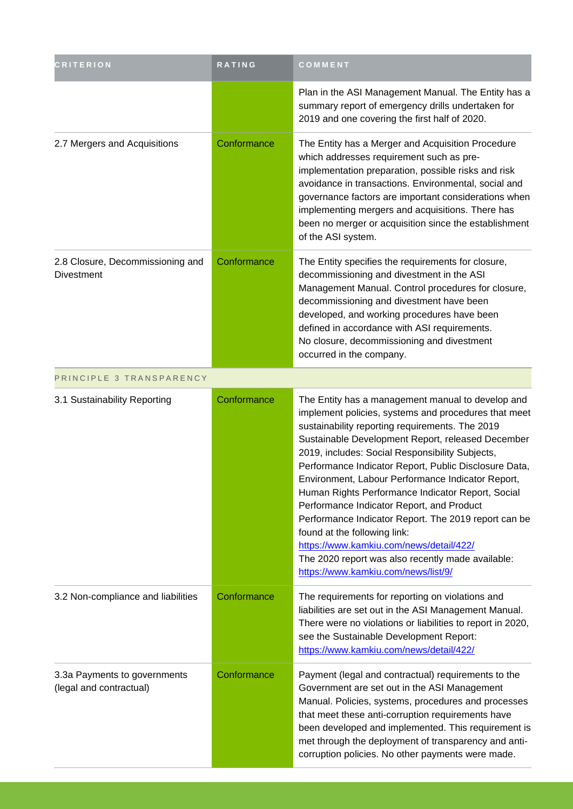| <b>CRITERION</b>                                        | RATING      | COMMENT                                                                                                                                                                                                                                                                                                                                                                                                                                                                                                                                                                                                                                                                                                             |
|---------------------------------------------------------|-------------|---------------------------------------------------------------------------------------------------------------------------------------------------------------------------------------------------------------------------------------------------------------------------------------------------------------------------------------------------------------------------------------------------------------------------------------------------------------------------------------------------------------------------------------------------------------------------------------------------------------------------------------------------------------------------------------------------------------------|
|                                                         |             | Plan in the ASI Management Manual. The Entity has a<br>summary report of emergency drills undertaken for<br>2019 and one covering the first half of 2020.                                                                                                                                                                                                                                                                                                                                                                                                                                                                                                                                                           |
| 2.7 Mergers and Acquisitions                            | Conformance | The Entity has a Merger and Acquisition Procedure<br>which addresses requirement such as pre-<br>implementation preparation, possible risks and risk<br>avoidance in transactions. Environmental, social and<br>governance factors are important considerations when<br>implementing mergers and acquisitions. There has<br>been no merger or acquisition since the establishment<br>of the ASI system.                                                                                                                                                                                                                                                                                                             |
| 2.8 Closure, Decommissioning and<br><b>Divestment</b>   | Conformance | The Entity specifies the requirements for closure,<br>decommissioning and divestment in the ASI<br>Management Manual. Control procedures for closure,<br>decommissioning and divestment have been<br>developed, and working procedures have been<br>defined in accordance with ASI requirements.<br>No closure, decommissioning and divestment<br>occurred in the company.                                                                                                                                                                                                                                                                                                                                          |
| PRINCIPLE 3 TRANSPARENCY                                |             |                                                                                                                                                                                                                                                                                                                                                                                                                                                                                                                                                                                                                                                                                                                     |
| 3.1 Sustainability Reporting                            | Conformance | The Entity has a management manual to develop and<br>implement policies, systems and procedures that meet<br>sustainability reporting requirements. The 2019<br>Sustainable Development Report, released December<br>2019, includes: Social Responsibility Subjects,<br>Performance Indicator Report, Public Disclosure Data,<br>Environment, Labour Performance Indicator Report,<br>Human Rights Performance Indicator Report, Social<br>Performance Indicator Report, and Product<br>Performance Indicator Report. The 2019 report can be<br>found at the following link:<br>https://www.kamkiu.com/news/detail/422/<br>The 2020 report was also recently made available:<br>https://www.kamkiu.com/news/list/9/ |
| 3.2 Non-compliance and liabilities                      | Conformance | The requirements for reporting on violations and<br>liabilities are set out in the ASI Management Manual.<br>There were no violations or liabilities to report in 2020,<br>see the Sustainable Development Report:<br>https://www.kamkiu.com/news/detail/422/                                                                                                                                                                                                                                                                                                                                                                                                                                                       |
| 3.3a Payments to governments<br>(legal and contractual) | Conformance | Payment (legal and contractual) requirements to the<br>Government are set out in the ASI Management<br>Manual. Policies, systems, procedures and processes<br>that meet these anti-corruption requirements have<br>been developed and implemented. This requirement is<br>met through the deployment of transparency and anti-<br>corruption policies. No other payments were made.                                                                                                                                                                                                                                                                                                                                 |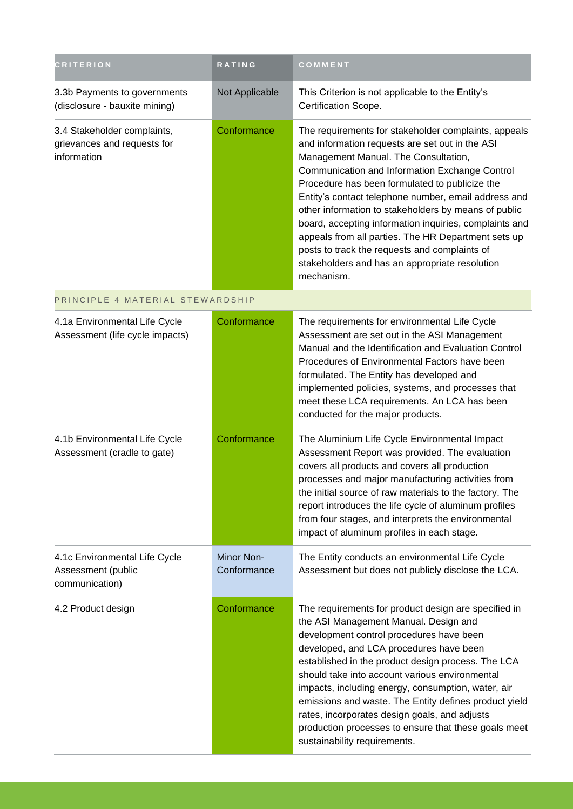| <b>CRITERION</b>                                                          | RATING                    | COMMENT                                                                                                                                                                                                                                                                                                                                                                                                                                                                                                                                                                                               |
|---------------------------------------------------------------------------|---------------------------|-------------------------------------------------------------------------------------------------------------------------------------------------------------------------------------------------------------------------------------------------------------------------------------------------------------------------------------------------------------------------------------------------------------------------------------------------------------------------------------------------------------------------------------------------------------------------------------------------------|
| 3.3b Payments to governments<br>(disclosure - bauxite mining)             | Not Applicable            | This Criterion is not applicable to the Entity's<br>Certification Scope.                                                                                                                                                                                                                                                                                                                                                                                                                                                                                                                              |
| 3.4 Stakeholder complaints,<br>grievances and requests for<br>information | Conformance               | The requirements for stakeholder complaints, appeals<br>and information requests are set out in the ASI<br>Management Manual. The Consultation,<br>Communication and Information Exchange Control<br>Procedure has been formulated to publicize the<br>Entity's contact telephone number, email address and<br>other information to stakeholders by means of public<br>board, accepting information inquiries, complaints and<br>appeals from all parties. The HR Department sets up<br>posts to track the requests and complaints of<br>stakeholders and has an appropriate resolution<br>mechanism. |
| PRINCIPLE 4 MATERIAL STEWARDSHIP                                          |                           |                                                                                                                                                                                                                                                                                                                                                                                                                                                                                                                                                                                                       |
| 4.1a Environmental Life Cycle<br>Assessment (life cycle impacts)          | Conformance               | The requirements for environmental Life Cycle<br>Assessment are set out in the ASI Management<br>Manual and the Identification and Evaluation Control<br>Procedures of Environmental Factors have been<br>formulated. The Entity has developed and<br>implemented policies, systems, and processes that<br>meet these LCA requirements. An LCA has been<br>conducted for the major products.                                                                                                                                                                                                          |
| 4.1b Environmental Life Cycle<br>Assessment (cradle to gate)              | Conformance               | The Aluminium Life Cycle Environmental Impact<br>Assessment Report was provided. The evaluation<br>covers all products and covers all production<br>processes and major manufacturing activities from<br>the initial source of raw materials to the factory. The<br>report introduces the life cycle of aluminum profiles<br>from four stages, and interprets the environmental<br>impact of aluminum profiles in each stage.                                                                                                                                                                         |
| 4.1c Environmental Life Cycle<br>Assessment (public<br>communication)     | Minor Non-<br>Conformance | The Entity conducts an environmental Life Cycle<br>Assessment but does not publicly disclose the LCA.                                                                                                                                                                                                                                                                                                                                                                                                                                                                                                 |
| 4.2 Product design                                                        | Conformance               | The requirements for product design are specified in<br>the ASI Management Manual. Design and<br>development control procedures have been<br>developed, and LCA procedures have been<br>established in the product design process. The LCA<br>should take into account various environmental<br>impacts, including energy, consumption, water, air<br>emissions and waste. The Entity defines product yield<br>rates, incorporates design goals, and adjusts<br>production processes to ensure that these goals meet<br>sustainability requirements.                                                  |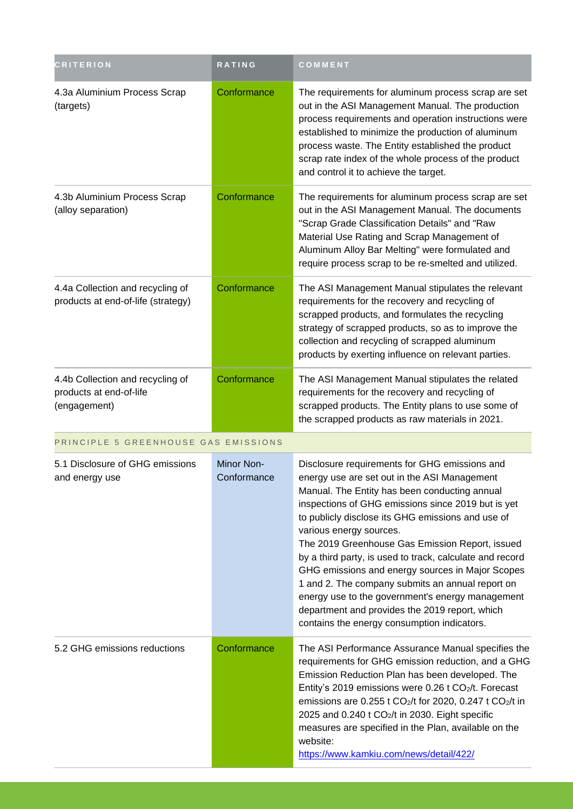| <b>CRITERION</b>                                                            | RATING                    | COMMENT                                                                                                                                                                                                                                                                                                                                                                                                                                                                                                                                                                                                                                                          |  |  |
|-----------------------------------------------------------------------------|---------------------------|------------------------------------------------------------------------------------------------------------------------------------------------------------------------------------------------------------------------------------------------------------------------------------------------------------------------------------------------------------------------------------------------------------------------------------------------------------------------------------------------------------------------------------------------------------------------------------------------------------------------------------------------------------------|--|--|
| 4.3a Aluminium Process Scrap<br>(targets)                                   | Conformance               | The requirements for aluminum process scrap are set<br>out in the ASI Management Manual. The production<br>process requirements and operation instructions were<br>established to minimize the production of aluminum<br>process waste. The Entity established the product<br>scrap rate index of the whole process of the product<br>and control it to achieve the target.                                                                                                                                                                                                                                                                                      |  |  |
| 4.3b Aluminium Process Scrap<br>(alloy separation)                          | Conformance               | The requirements for aluminum process scrap are set<br>out in the ASI Management Manual. The documents<br>"Scrap Grade Classification Details" and "Raw<br>Material Use Rating and Scrap Management of<br>Aluminum Alloy Bar Melting" were formulated and<br>require process scrap to be re-smelted and utilized.                                                                                                                                                                                                                                                                                                                                                |  |  |
| 4.4a Collection and recycling of<br>products at end-of-life (strategy)      | Conformance               | The ASI Management Manual stipulates the relevant<br>requirements for the recovery and recycling of<br>scrapped products, and formulates the recycling<br>strategy of scrapped products, so as to improve the<br>collection and recycling of scrapped aluminum<br>products by exerting influence on relevant parties.                                                                                                                                                                                                                                                                                                                                            |  |  |
| 4.4b Collection and recycling of<br>products at end-of-life<br>(engagement) | Conformance               | The ASI Management Manual stipulates the related<br>requirements for the recovery and recycling of<br>scrapped products. The Entity plans to use some of<br>the scrapped products as raw materials in 2021.                                                                                                                                                                                                                                                                                                                                                                                                                                                      |  |  |
| PRINCIPLE 5 GREENHOUSE GAS EMISSIONS                                        |                           |                                                                                                                                                                                                                                                                                                                                                                                                                                                                                                                                                                                                                                                                  |  |  |
| 5.1 Disclosure of GHG emissions<br>and energy use                           | Minor Non-<br>Conformance | Disclosure requirements for GHG emissions and<br>energy use are set out in the ASI Management<br>Manual. The Entity has been conducting annual<br>inspections of GHG emissions since 2019 but is yet<br>to publicly disclose its GHG emissions and use of<br>various energy sources.<br>The 2019 Greenhouse Gas Emission Report, issued<br>by a third party, is used to track, calculate and record<br>GHG emissions and energy sources in Major Scopes<br>1 and 2. The company submits an annual report on<br>energy use to the government's energy management<br>department and provides the 2019 report, which<br>contains the energy consumption indicators. |  |  |
| 5.2 GHG emissions reductions                                                | Conformance               | The ASI Performance Assurance Manual specifies the<br>requirements for GHG emission reduction, and a GHG<br>Emission Reduction Plan has been developed. The<br>Entity's 2019 emissions were 0.26 t CO <sub>2</sub> /t. Forecast<br>emissions are 0.255 t CO <sub>2</sub> /t for 2020, 0.247 t CO <sub>2</sub> /t in<br>2025 and 0.240 t CO <sub>2</sub> /t in 2030. Eight specific<br>measures are specified in the Plan, available on the<br>website:<br>https://www.kamkiu.com/news/detail/422/                                                                                                                                                                |  |  |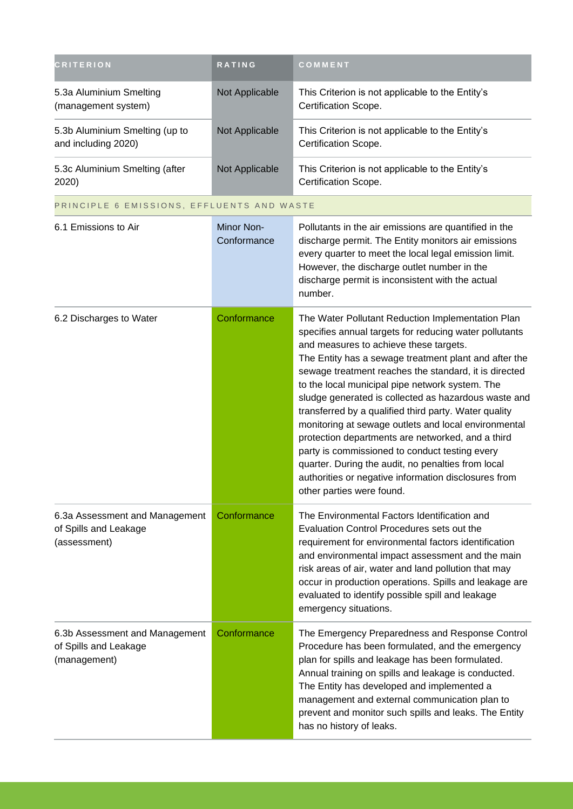| <b>CRITERION</b>                                                        | <b>RATING</b>             | COMMENT                                                                                                                                                                                                                                                                                                                                                                                                                                                                                                                                                                                                                                                                                                                                               |
|-------------------------------------------------------------------------|---------------------------|-------------------------------------------------------------------------------------------------------------------------------------------------------------------------------------------------------------------------------------------------------------------------------------------------------------------------------------------------------------------------------------------------------------------------------------------------------------------------------------------------------------------------------------------------------------------------------------------------------------------------------------------------------------------------------------------------------------------------------------------------------|
| 5.3a Aluminium Smelting<br>(management system)                          | Not Applicable            | This Criterion is not applicable to the Entity's<br>Certification Scope.                                                                                                                                                                                                                                                                                                                                                                                                                                                                                                                                                                                                                                                                              |
| 5.3b Aluminium Smelting (up to<br>and including 2020)                   | Not Applicable            | This Criterion is not applicable to the Entity's<br>Certification Scope.                                                                                                                                                                                                                                                                                                                                                                                                                                                                                                                                                                                                                                                                              |
| 5.3c Aluminium Smelting (after<br>2020)                                 | Not Applicable            | This Criterion is not applicable to the Entity's<br>Certification Scope.                                                                                                                                                                                                                                                                                                                                                                                                                                                                                                                                                                                                                                                                              |
| PRINCIPLE 6 EMISSIONS, EFFLUENTS AND WASTE                              |                           |                                                                                                                                                                                                                                                                                                                                                                                                                                                                                                                                                                                                                                                                                                                                                       |
| 6.1 Emissions to Air                                                    | Minor Non-<br>Conformance | Pollutants in the air emissions are quantified in the<br>discharge permit. The Entity monitors air emissions<br>every quarter to meet the local legal emission limit.<br>However, the discharge outlet number in the<br>discharge permit is inconsistent with the actual<br>number.                                                                                                                                                                                                                                                                                                                                                                                                                                                                   |
| 6.2 Discharges to Water                                                 | Conformance               | The Water Pollutant Reduction Implementation Plan<br>specifies annual targets for reducing water pollutants<br>and measures to achieve these targets.<br>The Entity has a sewage treatment plant and after the<br>sewage treatment reaches the standard, it is directed<br>to the local municipal pipe network system. The<br>sludge generated is collected as hazardous waste and<br>transferred by a qualified third party. Water quality<br>monitoring at sewage outlets and local environmental<br>protection departments are networked, and a third<br>party is commissioned to conduct testing every<br>quarter. During the audit, no penalties from local<br>authorities or negative information disclosures from<br>other parties were found. |
| 6.3a Assessment and Management<br>of Spills and Leakage<br>(assessment) | Conformance               | The Environmental Factors Identification and<br>Evaluation Control Procedures sets out the<br>requirement for environmental factors identification<br>and environmental impact assessment and the main<br>risk areas of air, water and land pollution that may<br>occur in production operations. Spills and leakage are<br>evaluated to identify possible spill and leakage<br>emergency situations.                                                                                                                                                                                                                                                                                                                                                 |
| 6.3b Assessment and Management<br>of Spills and Leakage<br>(management) | Conformance               | The Emergency Preparedness and Response Control<br>Procedure has been formulated, and the emergency<br>plan for spills and leakage has been formulated.<br>Annual training on spills and leakage is conducted.<br>The Entity has developed and implemented a<br>management and external communication plan to<br>prevent and monitor such spills and leaks. The Entity<br>has no history of leaks.                                                                                                                                                                                                                                                                                                                                                    |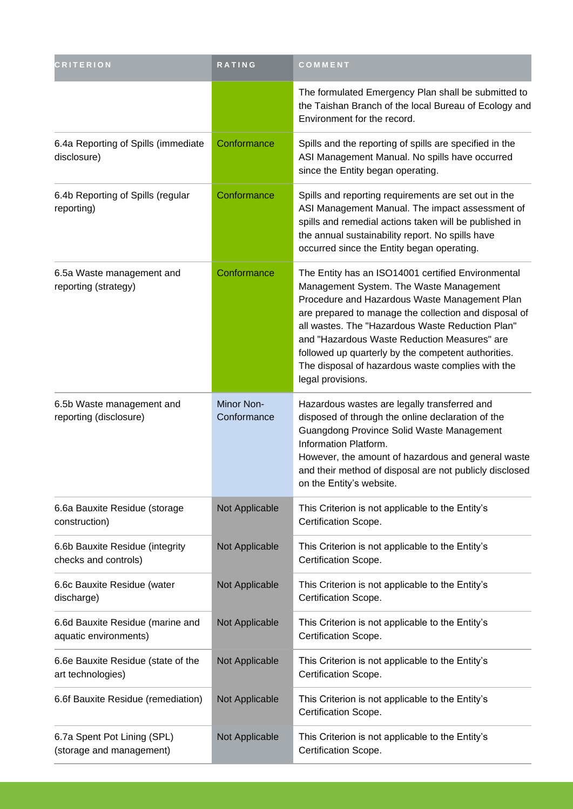| <b>CRITERION</b>                                          | RATING                    | COMMENT                                                                                                                                                                                                                                                                                                                                                                                                                                      |
|-----------------------------------------------------------|---------------------------|----------------------------------------------------------------------------------------------------------------------------------------------------------------------------------------------------------------------------------------------------------------------------------------------------------------------------------------------------------------------------------------------------------------------------------------------|
|                                                           |                           | The formulated Emergency Plan shall be submitted to<br>the Taishan Branch of the local Bureau of Ecology and<br>Environment for the record.                                                                                                                                                                                                                                                                                                  |
| 6.4a Reporting of Spills (immediate<br>disclosure)        | Conformance               | Spills and the reporting of spills are specified in the<br>ASI Management Manual. No spills have occurred<br>since the Entity began operating.                                                                                                                                                                                                                                                                                               |
| 6.4b Reporting of Spills (regular<br>reporting)           | Conformance               | Spills and reporting requirements are set out in the<br>ASI Management Manual. The impact assessment of<br>spills and remedial actions taken will be published in<br>the annual sustainability report. No spills have<br>occurred since the Entity began operating.                                                                                                                                                                          |
| 6.5a Waste management and<br>reporting (strategy)         | Conformance               | The Entity has an ISO14001 certified Environmental<br>Management System. The Waste Management<br>Procedure and Hazardous Waste Management Plan<br>are prepared to manage the collection and disposal of<br>all wastes. The "Hazardous Waste Reduction Plan"<br>and "Hazardous Waste Reduction Measures" are<br>followed up quarterly by the competent authorities.<br>The disposal of hazardous waste complies with the<br>legal provisions. |
| 6.5b Waste management and<br>reporting (disclosure)       | Minor Non-<br>Conformance | Hazardous wastes are legally transferred and<br>disposed of through the online declaration of the<br>Guangdong Province Solid Waste Management<br>Information Platform.<br>However, the amount of hazardous and general waste<br>and their method of disposal are not publicly disclosed<br>on the Entity's website.                                                                                                                         |
| 6.6a Bauxite Residue (storage<br>construction)            | Not Applicable            | This Criterion is not applicable to the Entity's<br>Certification Scope.                                                                                                                                                                                                                                                                                                                                                                     |
| 6.6b Bauxite Residue (integrity<br>checks and controls)   | Not Applicable            | This Criterion is not applicable to the Entity's<br>Certification Scope.                                                                                                                                                                                                                                                                                                                                                                     |
| 6.6c Bauxite Residue (water<br>discharge)                 | Not Applicable            | This Criterion is not applicable to the Entity's<br>Certification Scope.                                                                                                                                                                                                                                                                                                                                                                     |
| 6.6d Bauxite Residue (marine and<br>aquatic environments) | Not Applicable            | This Criterion is not applicable to the Entity's<br>Certification Scope.                                                                                                                                                                                                                                                                                                                                                                     |
| 6.6e Bauxite Residue (state of the<br>art technologies)   | Not Applicable            | This Criterion is not applicable to the Entity's<br>Certification Scope.                                                                                                                                                                                                                                                                                                                                                                     |
| 6.6f Bauxite Residue (remediation)                        | Not Applicable            | This Criterion is not applicable to the Entity's<br>Certification Scope.                                                                                                                                                                                                                                                                                                                                                                     |
| 6.7a Spent Pot Lining (SPL)<br>(storage and management)   | Not Applicable            | This Criterion is not applicable to the Entity's<br>Certification Scope.                                                                                                                                                                                                                                                                                                                                                                     |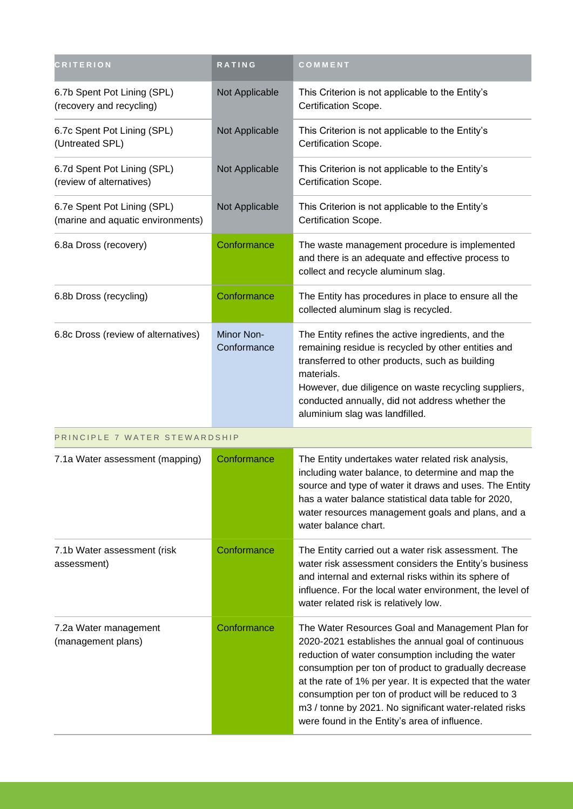| <b>CRITERION</b>                                                 | RATING                           | COMMENT                                                                                                                                                                                                                                                                                                                                                                                                                                              |
|------------------------------------------------------------------|----------------------------------|------------------------------------------------------------------------------------------------------------------------------------------------------------------------------------------------------------------------------------------------------------------------------------------------------------------------------------------------------------------------------------------------------------------------------------------------------|
| 6.7b Spent Pot Lining (SPL)<br>(recovery and recycling)          | Not Applicable                   | This Criterion is not applicable to the Entity's<br>Certification Scope.                                                                                                                                                                                                                                                                                                                                                                             |
| 6.7c Spent Pot Lining (SPL)<br>(Untreated SPL)                   | Not Applicable                   | This Criterion is not applicable to the Entity's<br>Certification Scope.                                                                                                                                                                                                                                                                                                                                                                             |
| 6.7d Spent Pot Lining (SPL)<br>(review of alternatives)          | Not Applicable                   | This Criterion is not applicable to the Entity's<br>Certification Scope.                                                                                                                                                                                                                                                                                                                                                                             |
| 6.7e Spent Pot Lining (SPL)<br>(marine and aquatic environments) | Not Applicable                   | This Criterion is not applicable to the Entity's<br>Certification Scope.                                                                                                                                                                                                                                                                                                                                                                             |
| 6.8a Dross (recovery)                                            | Conformance                      | The waste management procedure is implemented<br>and there is an adequate and effective process to<br>collect and recycle aluminum slag.                                                                                                                                                                                                                                                                                                             |
| 6.8b Dross (recycling)                                           | Conformance                      | The Entity has procedures in place to ensure all the<br>collected aluminum slag is recycled.                                                                                                                                                                                                                                                                                                                                                         |
| 6.8c Dross (review of alternatives)                              | <b>Minor Non-</b><br>Conformance | The Entity refines the active ingredients, and the<br>remaining residue is recycled by other entities and<br>transferred to other products, such as building<br>materials.<br>However, due diligence on waste recycling suppliers,<br>conducted annually, did not address whether the<br>aluminium slag was landfilled.                                                                                                                              |
| PRINCIPLE 7 WATER STEWARDSHIP                                    |                                  |                                                                                                                                                                                                                                                                                                                                                                                                                                                      |
| 7.1a Water assessment (mapping)                                  | Conformance                      | The Entity undertakes water related risk analysis,<br>including water balance, to determine and map the<br>source and type of water it draws and uses. The Entity<br>has a water balance statistical data table for 2020,<br>water resources management goals and plans, and a<br>water balance chart.                                                                                                                                               |
| 7.1b Water assessment (risk)<br>assessment)                      | Conformance                      | The Entity carried out a water risk assessment. The<br>water risk assessment considers the Entity's business<br>and internal and external risks within its sphere of<br>influence. For the local water environment, the level of<br>water related risk is relatively low.                                                                                                                                                                            |
| 7.2a Water management<br>(management plans)                      | Conformance                      | The Water Resources Goal and Management Plan for<br>2020-2021 establishes the annual goal of continuous<br>reduction of water consumption including the water<br>consumption per ton of product to gradually decrease<br>at the rate of 1% per year. It is expected that the water<br>consumption per ton of product will be reduced to 3<br>m3 / tonne by 2021. No significant water-related risks<br>were found in the Entity's area of influence. |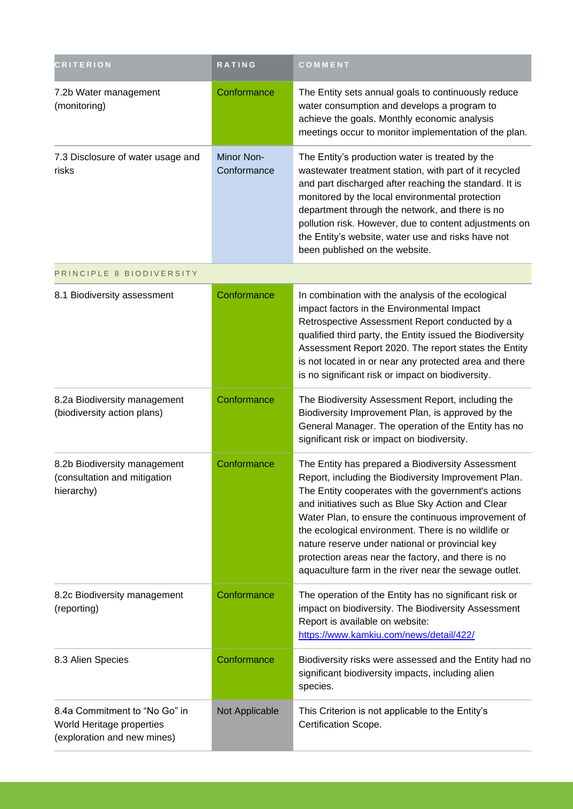| <b>CRITERION</b>                                                                          | <b>RATING</b>             | COMMENT                                                                                                                                                                                                                                                                                                                                                                                                                                                                                               |
|-------------------------------------------------------------------------------------------|---------------------------|-------------------------------------------------------------------------------------------------------------------------------------------------------------------------------------------------------------------------------------------------------------------------------------------------------------------------------------------------------------------------------------------------------------------------------------------------------------------------------------------------------|
| 7.2b Water management<br>(monitoring)                                                     | Conformance               | The Entity sets annual goals to continuously reduce<br>water consumption and develops a program to<br>achieve the goals. Monthly economic analysis<br>meetings occur to monitor implementation of the plan.                                                                                                                                                                                                                                                                                           |
| 7.3 Disclosure of water usage and<br>risks                                                | Minor Non-<br>Conformance | The Entity's production water is treated by the<br>wastewater treatment station, with part of it recycled<br>and part discharged after reaching the standard. It is<br>monitored by the local environmental protection<br>department through the network, and there is no<br>pollution risk. However, due to content adjustments on<br>the Entity's website, water use and risks have not<br>been published on the website.                                                                           |
| PRINCIPLE 8 BIODIVERSITY                                                                  |                           |                                                                                                                                                                                                                                                                                                                                                                                                                                                                                                       |
| 8.1 Biodiversity assessment                                                               | Conformance               | In combination with the analysis of the ecological<br>impact factors in the Environmental Impact<br>Retrospective Assessment Report conducted by a<br>qualified third party, the Entity issued the Biodiversity<br>Assessment Report 2020. The report states the Entity<br>is not located in or near any protected area and there<br>is no significant risk or impact on biodiversity.                                                                                                                |
| 8.2a Biodiversity management<br>(biodiversity action plans)                               | Conformance               | The Biodiversity Assessment Report, including the<br>Biodiversity Improvement Plan, is approved by the<br>General Manager. The operation of the Entity has no<br>significant risk or impact on biodiversity.                                                                                                                                                                                                                                                                                          |
| 8.2b Biodiversity management<br>(consultation and mitigation<br>hierarchy)                | Conformance               | The Entity has prepared a Biodiversity Assessment<br>Report, including the Biodiversity Improvement Plan.<br>The Entity cooperates with the government's actions<br>and initiatives such as Blue Sky Action and Clear<br>Water Plan, to ensure the continuous improvement of<br>the ecological environment. There is no wildlife or<br>nature reserve under national or provincial key<br>protection areas near the factory, and there is no<br>aquaculture farm in the river near the sewage outlet. |
| 8.2c Biodiversity management<br>(reporting)                                               | Conformance               | The operation of the Entity has no significant risk or<br>impact on biodiversity. The Biodiversity Assessment<br>Report is available on website:<br>https://www.kamkiu.com/news/detail/422/                                                                                                                                                                                                                                                                                                           |
| 8.3 Alien Species                                                                         | Conformance               | Biodiversity risks were assessed and the Entity had no<br>significant biodiversity impacts, including alien<br>species.                                                                                                                                                                                                                                                                                                                                                                               |
| 8.4a Commitment to "No Go" in<br>World Heritage properties<br>(exploration and new mines) | Not Applicable            | This Criterion is not applicable to the Entity's<br>Certification Scope.                                                                                                                                                                                                                                                                                                                                                                                                                              |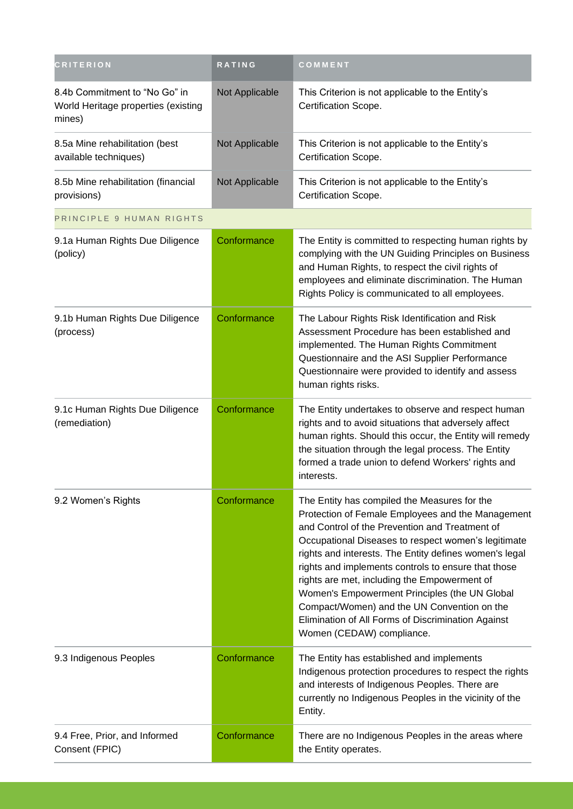| <b>CRITERION</b>                                                               | RATING         | COMMENT                                                                                                                                                                                                                                                                                                                                                                                                                                                                                                                                                        |
|--------------------------------------------------------------------------------|----------------|----------------------------------------------------------------------------------------------------------------------------------------------------------------------------------------------------------------------------------------------------------------------------------------------------------------------------------------------------------------------------------------------------------------------------------------------------------------------------------------------------------------------------------------------------------------|
| 8.4b Commitment to "No Go" in<br>World Heritage properties (existing<br>mines) | Not Applicable | This Criterion is not applicable to the Entity's<br>Certification Scope.                                                                                                                                                                                                                                                                                                                                                                                                                                                                                       |
| 8.5a Mine rehabilitation (best<br>available techniques)                        | Not Applicable | This Criterion is not applicable to the Entity's<br>Certification Scope.                                                                                                                                                                                                                                                                                                                                                                                                                                                                                       |
| 8.5b Mine rehabilitation (financial<br>provisions)                             | Not Applicable | This Criterion is not applicable to the Entity's<br>Certification Scope.                                                                                                                                                                                                                                                                                                                                                                                                                                                                                       |
| PRINCIPLE 9 HUMAN RIGHTS                                                       |                |                                                                                                                                                                                                                                                                                                                                                                                                                                                                                                                                                                |
| 9.1a Human Rights Due Diligence<br>(policy)                                    | Conformance    | The Entity is committed to respecting human rights by<br>complying with the UN Guiding Principles on Business<br>and Human Rights, to respect the civil rights of<br>employees and eliminate discrimination. The Human<br>Rights Policy is communicated to all employees.                                                                                                                                                                                                                                                                                      |
| 9.1b Human Rights Due Diligence<br>(process)                                   | Conformance    | The Labour Rights Risk Identification and Risk<br>Assessment Procedure has been established and<br>implemented. The Human Rights Commitment<br>Questionnaire and the ASI Supplier Performance<br>Questionnaire were provided to identify and assess<br>human rights risks.                                                                                                                                                                                                                                                                                     |
| 9.1c Human Rights Due Diligence<br>(remediation)                               | Conformance    | The Entity undertakes to observe and respect human<br>rights and to avoid situations that adversely affect<br>human rights. Should this occur, the Entity will remedy<br>the situation through the legal process. The Entity<br>formed a trade union to defend Workers' rights and<br>interests.                                                                                                                                                                                                                                                               |
| 9.2 Women's Rights                                                             | Conformance    | The Entity has compiled the Measures for the<br>Protection of Female Employees and the Management<br>and Control of the Prevention and Treatment of<br>Occupational Diseases to respect women's legitimate<br>rights and interests. The Entity defines women's legal<br>rights and implements controls to ensure that those<br>rights are met, including the Empowerment of<br>Women's Empowerment Principles (the UN Global<br>Compact/Women) and the UN Convention on the<br>Elimination of All Forms of Discrimination Against<br>Women (CEDAW) compliance. |
| 9.3 Indigenous Peoples                                                         | Conformance    | The Entity has established and implements<br>Indigenous protection procedures to respect the rights<br>and interests of Indigenous Peoples. There are<br>currently no Indigenous Peoples in the vicinity of the<br>Entity.                                                                                                                                                                                                                                                                                                                                     |
| 9.4 Free, Prior, and Informed<br>Consent (FPIC)                                | Conformance    | There are no Indigenous Peoples in the areas where<br>the Entity operates.                                                                                                                                                                                                                                                                                                                                                                                                                                                                                     |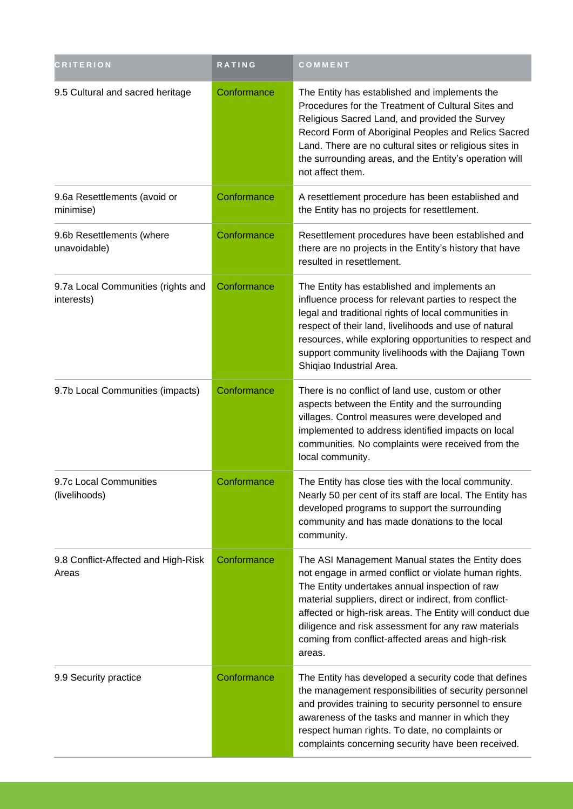| <b>CRITERION</b>                                 | <b>RATING</b> | COMMENT                                                                                                                                                                                                                                                                                                                                                                                                 |
|--------------------------------------------------|---------------|---------------------------------------------------------------------------------------------------------------------------------------------------------------------------------------------------------------------------------------------------------------------------------------------------------------------------------------------------------------------------------------------------------|
| 9.5 Cultural and sacred heritage                 | Conformance   | The Entity has established and implements the<br>Procedures for the Treatment of Cultural Sites and<br>Religious Sacred Land, and provided the Survey<br>Record Form of Aboriginal Peoples and Relics Sacred<br>Land. There are no cultural sites or religious sites in<br>the surrounding areas, and the Entity's operation will<br>not affect them.                                                   |
| 9.6a Resettlements (avoid or<br>minimise)        | Conformance   | A resettlement procedure has been established and<br>the Entity has no projects for resettlement.                                                                                                                                                                                                                                                                                                       |
| 9.6b Resettlements (where<br>unavoidable)        | Conformance   | Resettlement procedures have been established and<br>there are no projects in the Entity's history that have<br>resulted in resettlement.                                                                                                                                                                                                                                                               |
| 9.7a Local Communities (rights and<br>interests) | Conformance   | The Entity has established and implements an<br>influence process for relevant parties to respect the<br>legal and traditional rights of local communities in<br>respect of their land, livelihoods and use of natural<br>resources, while exploring opportunities to respect and<br>support community livelihoods with the Dajiang Town<br>Shiqiao Industrial Area.                                    |
| 9.7b Local Communities (impacts)                 | Conformance   | There is no conflict of land use, custom or other<br>aspects between the Entity and the surrounding<br>villages. Control measures were developed and<br>implemented to address identified impacts on local<br>communities. No complaints were received from the<br>local community.                                                                                                                     |
| 9.7c Local Communities<br>(livelihoods)          | Conformance   | The Entity has close ties with the local community.<br>Nearly 50 per cent of its staff are local. The Entity has<br>developed programs to support the surrounding<br>community and has made donations to the local<br>community.                                                                                                                                                                        |
| 9.8 Conflict-Affected and High-Risk<br>Areas     | Conformance   | The ASI Management Manual states the Entity does<br>not engage in armed conflict or violate human rights.<br>The Entity undertakes annual inspection of raw<br>material suppliers, direct or indirect, from conflict-<br>affected or high-risk areas. The Entity will conduct due<br>diligence and risk assessment for any raw materials<br>coming from conflict-affected areas and high-risk<br>areas. |
| 9.9 Security practice                            | Conformance   | The Entity has developed a security code that defines<br>the management responsibilities of security personnel<br>and provides training to security personnel to ensure<br>awareness of the tasks and manner in which they<br>respect human rights. To date, no complaints or<br>complaints concerning security have been received.                                                                     |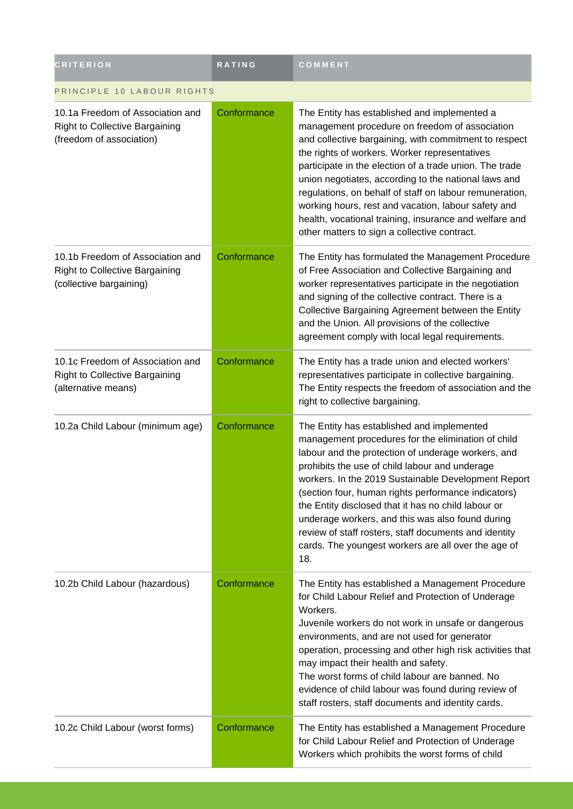| <b>CRITERION</b>                                                                                      | <b>RATING</b> | COMMENT                                                                                                                                                                                                                                                                                                                                                                                                                                                                                                                                                  |
|-------------------------------------------------------------------------------------------------------|---------------|----------------------------------------------------------------------------------------------------------------------------------------------------------------------------------------------------------------------------------------------------------------------------------------------------------------------------------------------------------------------------------------------------------------------------------------------------------------------------------------------------------------------------------------------------------|
| PRINCIPLE 10 LABOUR RIGHTS                                                                            |               |                                                                                                                                                                                                                                                                                                                                                                                                                                                                                                                                                          |
| 10.1a Freedom of Association and<br><b>Right to Collective Bargaining</b><br>(freedom of association) | Conformance   | The Entity has established and implemented a<br>management procedure on freedom of association<br>and collective bargaining, with commitment to respect<br>the rights of workers. Worker representatives<br>participate in the election of a trade union. The trade<br>union negotiates, according to the national laws and<br>regulations, on behalf of staff on labour remuneration,<br>working hours, rest and vacation, labour safety and<br>health, vocational training, insurance and welfare and<br>other matters to sign a collective contract.  |
| 10.1b Freedom of Association and<br>Right to Collective Bargaining<br>(collective bargaining)         | Conformance   | The Entity has formulated the Management Procedure<br>of Free Association and Collective Bargaining and<br>worker representatives participate in the negotiation<br>and signing of the collective contract. There is a<br>Collective Bargaining Agreement between the Entity<br>and the Union. All provisions of the collective<br>agreement comply with local legal requirements.                                                                                                                                                                       |
| 10.1c Freedom of Association and<br><b>Right to Collective Bargaining</b><br>(alternative means)      | Conformance   | The Entity has a trade union and elected workers'<br>representatives participate in collective bargaining.<br>The Entity respects the freedom of association and the<br>right to collective bargaining.                                                                                                                                                                                                                                                                                                                                                  |
| 10.2a Child Labour (minimum age)                                                                      | Conformance   | The Entity has established and implemented<br>management procedures for the elimination of child<br>labour and the protection of underage workers, and<br>prohibits the use of child labour and underage<br>workers. In the 2019 Sustainable Development Report<br>(section four, human rights performance indicators)<br>the Entity disclosed that it has no child labour or<br>underage workers, and this was also found during<br>review of staff rosters, staff documents and identity<br>cards. The youngest workers are all over the age of<br>18. |
| 10.2b Child Labour (hazardous)                                                                        | Conformance   | The Entity has established a Management Procedure<br>for Child Labour Relief and Protection of Underage<br>Workers.<br>Juvenile workers do not work in unsafe or dangerous<br>environments, and are not used for generator<br>operation, processing and other high risk activities that<br>may impact their health and safety.<br>The worst forms of child labour are banned. No<br>evidence of child labour was found during review of<br>staff rosters, staff documents and identity cards.                                                            |
| 10.2c Child Labour (worst forms)                                                                      | Conformance   | The Entity has established a Management Procedure<br>for Child Labour Relief and Protection of Underage<br>Workers which prohibits the worst forms of child                                                                                                                                                                                                                                                                                                                                                                                              |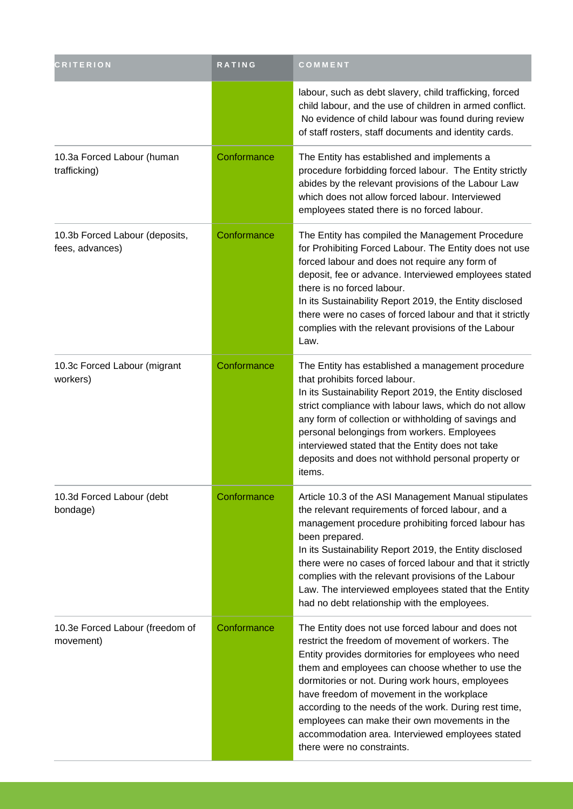| <b>CRITERION</b>                                  | RATING      | COMMENT                                                                                                                                                                                                                                                                                                                                                                                                                                                                                                       |
|---------------------------------------------------|-------------|---------------------------------------------------------------------------------------------------------------------------------------------------------------------------------------------------------------------------------------------------------------------------------------------------------------------------------------------------------------------------------------------------------------------------------------------------------------------------------------------------------------|
|                                                   |             | labour, such as debt slavery, child trafficking, forced<br>child labour, and the use of children in armed conflict.<br>No evidence of child labour was found during review<br>of staff rosters, staff documents and identity cards.                                                                                                                                                                                                                                                                           |
| 10.3a Forced Labour (human<br>trafficking)        | Conformance | The Entity has established and implements a<br>procedure forbidding forced labour. The Entity strictly<br>abides by the relevant provisions of the Labour Law<br>which does not allow forced labour. Interviewed<br>employees stated there is no forced labour.                                                                                                                                                                                                                                               |
| 10.3b Forced Labour (deposits,<br>fees, advances) | Conformance | The Entity has compiled the Management Procedure<br>for Prohibiting Forced Labour. The Entity does not use<br>forced labour and does not require any form of<br>deposit, fee or advance. Interviewed employees stated<br>there is no forced labour.<br>In its Sustainability Report 2019, the Entity disclosed<br>there were no cases of forced labour and that it strictly<br>complies with the relevant provisions of the Labour<br>Law.                                                                    |
| 10.3c Forced Labour (migrant<br>workers)          | Conformance | The Entity has established a management procedure<br>that prohibits forced labour.<br>In its Sustainability Report 2019, the Entity disclosed<br>strict compliance with labour laws, which do not allow<br>any form of collection or withholding of savings and<br>personal belongings from workers. Employees<br>interviewed stated that the Entity does not take<br>deposits and does not withhold personal property or<br>items.                                                                           |
| 10.3d Forced Labour (debt<br>bondage)             | Conformance | Article 10.3 of the ASI Management Manual stipulates<br>the relevant requirements of forced labour, and a<br>management procedure prohibiting forced labour has<br>been prepared.<br>In its Sustainability Report 2019, the Entity disclosed<br>there were no cases of forced labour and that it strictly<br>complies with the relevant provisions of the Labour<br>Law. The interviewed employees stated that the Entity<br>had no debt relationship with the employees.                                     |
| 10.3e Forced Labour (freedom of<br>movement)      | Conformance | The Entity does not use forced labour and does not<br>restrict the freedom of movement of workers. The<br>Entity provides dormitories for employees who need<br>them and employees can choose whether to use the<br>dormitories or not. During work hours, employees<br>have freedom of movement in the workplace<br>according to the needs of the work. During rest time,<br>employees can make their own movements in the<br>accommodation area. Interviewed employees stated<br>there were no constraints. |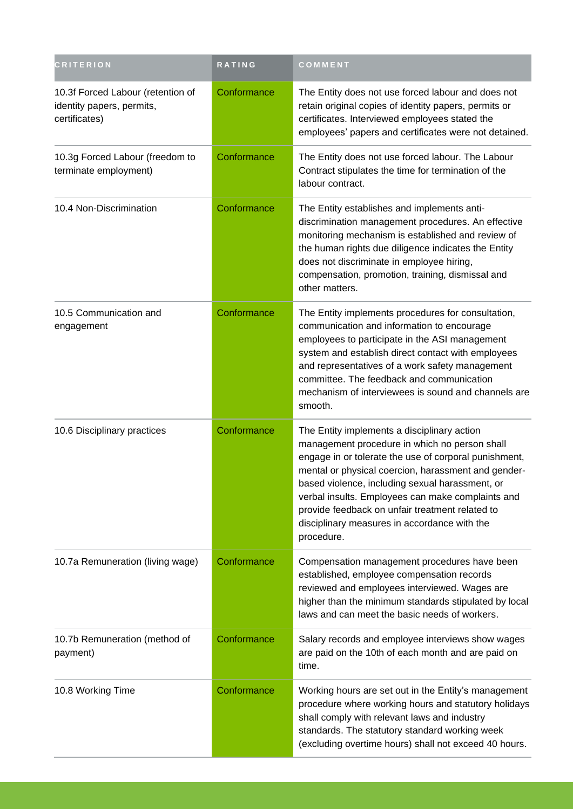| <b>CRITERION</b>                                                                | <b>RATING</b> | COMMENT                                                                                                                                                                                                                                                                                                                                                                                                                               |
|---------------------------------------------------------------------------------|---------------|---------------------------------------------------------------------------------------------------------------------------------------------------------------------------------------------------------------------------------------------------------------------------------------------------------------------------------------------------------------------------------------------------------------------------------------|
| 10.3f Forced Labour (retention of<br>identity papers, permits,<br>certificates) | Conformance   | The Entity does not use forced labour and does not<br>retain original copies of identity papers, permits or<br>certificates. Interviewed employees stated the<br>employees' papers and certificates were not detained.                                                                                                                                                                                                                |
| 10.3g Forced Labour (freedom to<br>terminate employment)                        | Conformance   | The Entity does not use forced labour. The Labour<br>Contract stipulates the time for termination of the<br>labour contract.                                                                                                                                                                                                                                                                                                          |
| 10.4 Non-Discrimination                                                         | Conformance   | The Entity establishes and implements anti-<br>discrimination management procedures. An effective<br>monitoring mechanism is established and review of<br>the human rights due diligence indicates the Entity<br>does not discriminate in employee hiring,<br>compensation, promotion, training, dismissal and<br>other matters.                                                                                                      |
| 10.5 Communication and<br>engagement                                            | Conformance   | The Entity implements procedures for consultation,<br>communication and information to encourage<br>employees to participate in the ASI management<br>system and establish direct contact with employees<br>and representatives of a work safety management<br>committee. The feedback and communication<br>mechanism of interviewees is sound and channels are<br>smooth.                                                            |
| 10.6 Disciplinary practices                                                     | Conformance   | The Entity implements a disciplinary action<br>management procedure in which no person shall<br>engage in or tolerate the use of corporal punishment,<br>mental or physical coercion, harassment and gender-<br>based violence, including sexual harassment, or<br>verbal insults. Employees can make complaints and<br>provide feedback on unfair treatment related to<br>disciplinary measures in accordance with the<br>procedure. |
| 10.7a Remuneration (living wage)                                                | Conformance   | Compensation management procedures have been<br>established, employee compensation records<br>reviewed and employees interviewed. Wages are<br>higher than the minimum standards stipulated by local<br>laws and can meet the basic needs of workers.                                                                                                                                                                                 |
| 10.7b Remuneration (method of<br>payment)                                       | Conformance   | Salary records and employee interviews show wages<br>are paid on the 10th of each month and are paid on<br>time.                                                                                                                                                                                                                                                                                                                      |
| 10.8 Working Time                                                               | Conformance   | Working hours are set out in the Entity's management<br>procedure where working hours and statutory holidays<br>shall comply with relevant laws and industry<br>standards. The statutory standard working week<br>(excluding overtime hours) shall not exceed 40 hours.                                                                                                                                                               |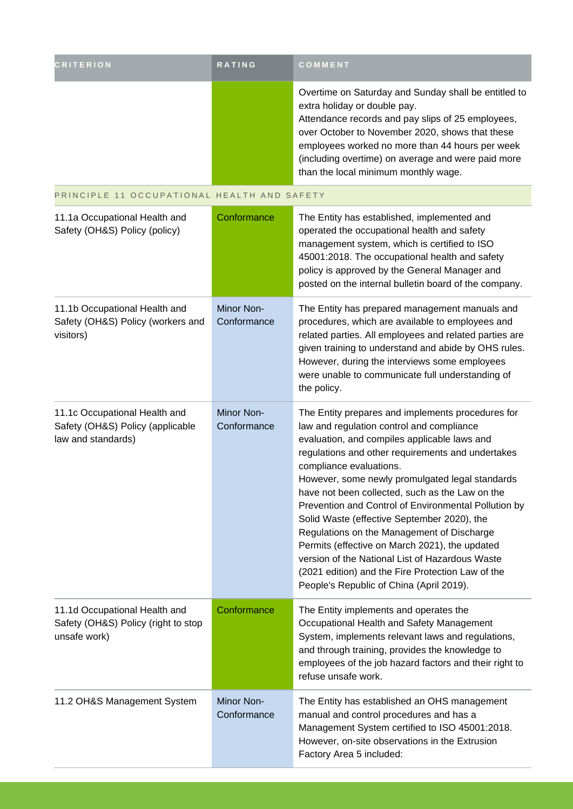| <b>CRITERION</b>                                                                        | RATING                    | COMMENT                                                                                                                                                                                                                                                                                                                                                                                                                                                                                                                                                                                                                                                                                         |
|-----------------------------------------------------------------------------------------|---------------------------|-------------------------------------------------------------------------------------------------------------------------------------------------------------------------------------------------------------------------------------------------------------------------------------------------------------------------------------------------------------------------------------------------------------------------------------------------------------------------------------------------------------------------------------------------------------------------------------------------------------------------------------------------------------------------------------------------|
|                                                                                         |                           | Overtime on Saturday and Sunday shall be entitled to<br>extra holiday or double pay.<br>Attendance records and pay slips of 25 employees,<br>over October to November 2020, shows that these<br>employees worked no more than 44 hours per week<br>(including overtime) on average and were paid more<br>than the local minimum monthly wage.                                                                                                                                                                                                                                                                                                                                                   |
| PRINCIPLE 11 OCCUPATIONAL HEALTH AND SAFETY                                             |                           |                                                                                                                                                                                                                                                                                                                                                                                                                                                                                                                                                                                                                                                                                                 |
| 11.1a Occupational Health and<br>Safety (OH&S) Policy (policy)                          | Conformance               | The Entity has established, implemented and<br>operated the occupational health and safety<br>management system, which is certified to ISO<br>45001:2018. The occupational health and safety<br>policy is approved by the General Manager and<br>posted on the internal bulletin board of the company.                                                                                                                                                                                                                                                                                                                                                                                          |
| 11.1b Occupational Health and<br>Safety (OH&S) Policy (workers and<br>visitors)         | Minor Non-<br>Conformance | The Entity has prepared management manuals and<br>procedures, which are available to employees and<br>related parties. All employees and related parties are<br>given training to understand and abide by OHS rules.<br>However, during the interviews some employees<br>were unable to communicate full understanding of<br>the policy.                                                                                                                                                                                                                                                                                                                                                        |
| 11.1c Occupational Health and<br>Safety (OH&S) Policy (applicable<br>law and standards) | Minor Non-<br>Conformance | The Entity prepares and implements procedures for<br>law and regulation control and compliance<br>evaluation, and compiles applicable laws and<br>regulations and other requirements and undertakes<br>compliance evaluations.<br>However, some newly promulgated legal standards<br>have not been collected, such as the Law on the<br>Prevention and Control of Environmental Pollution by<br>Solid Waste (effective September 2020), the<br>Regulations on the Management of Discharge<br>Permits (effective on March 2021), the updated<br>version of the National List of Hazardous Waste<br>(2021 edition) and the Fire Protection Law of the<br>People's Republic of China (April 2019). |
| 11.1d Occupational Health and<br>Safety (OH&S) Policy (right to stop<br>unsafe work)    | Conformance               | The Entity implements and operates the<br>Occupational Health and Safety Management<br>System, implements relevant laws and regulations,<br>and through training, provides the knowledge to<br>employees of the job hazard factors and their right to<br>refuse unsafe work.                                                                                                                                                                                                                                                                                                                                                                                                                    |
| 11.2 OH&S Management System                                                             | Minor Non-<br>Conformance | The Entity has established an OHS management<br>manual and control procedures and has a<br>Management System certified to ISO 45001:2018.<br>However, on-site observations in the Extrusion<br>Factory Area 5 included:                                                                                                                                                                                                                                                                                                                                                                                                                                                                         |